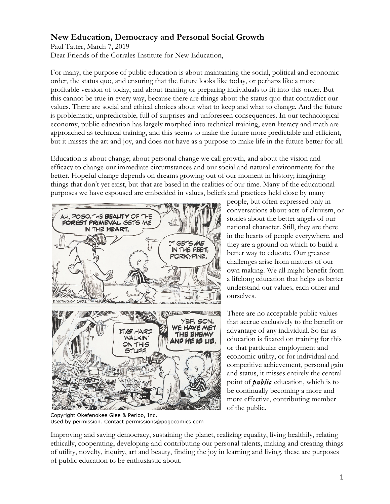## **New Education, Democracy and Personal Social Growth**

Paul Tatter, March 7, 2019 Dear Friends of the Corrales Institute for New Education,

For many, the purpose of public education is about maintaining the social, political and economic order, the status quo, and ensuring that the future looks like today, or perhaps like a more profitable version of today, and about training or preparing individuals to fit into this order. But this cannot be true in every way, because there are things about the status quo that contradict our values. There are social and ethical choices about what to keep and what to change. And the future is problematic, unpredictable, full of surprises and unforeseen consequences. In our technological economy, public education has largely morphed into technical training, even literacy and math are approached as technical training, and this seems to make the future more predictable and efficient, but it misses the art and joy, and does not have as a purpose to make life in the future better for all.

Education is about change; about personal change we call growth, and about the vision and efficacy to change our immediate circumstances and our social and natural environments for the better. Hopeful change depends on dreams growing out of our moment in history; imagining things that don't yet exist, but that are based in the realities of our time. Many of the educational purposes we have espoused are embedded in values, beliefs and practices held close by many



people, but often expressed only in conversations about acts of altruism, or stories about the better angels of our national character. Still, they are there in the hearts of people everywhere, and they are a ground on which to build a better way to educate. Our greatest challenges arise from matters of our own making. We all might benefit from a lifelong education that helps us better understand our values, each other and ourselves.

There are no acceptable public values that accrue exclusively to the benefit or advantage of any individual. So far as education is fixated on training for this or that particular employment and economic utility, or for individual and competitive achievement, personal gain and status, it misses entirely the central point of *public* education, which is to be continually becoming a more and more effective, contributing member of the public.

Copyright Okefenokee Glee & Perloo, Inc. Used by permission. Contact permissions@pogocomics.com

Improving and saving democracy, sustaining the planet, realizing equality, living healthily, relating ethically, cooperating, developing and contributing our personal talents, making and creating things of utility, novelty, inquiry, art and beauty, finding the joy in learning and living, these are purposes of public education to be enthusiastic about.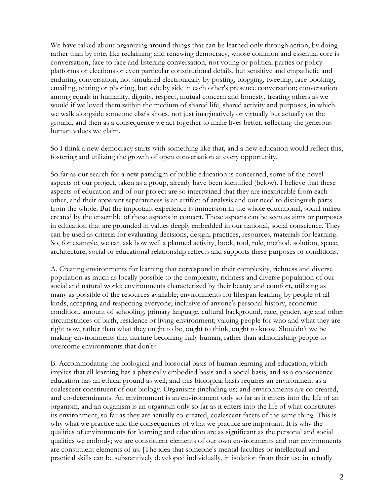We have talked about organizing around things that can be learned only through action, by doing rather than by rote, like reclaiming and renewing democracy, whose common and essential core is conversation, face to face and listening conversation, not voting or political parties or policy platforms or elections or even particular constitutional details, but sensitive and empathetic and enduring conversation, not simulated electronically by posting, blogging, tweeting, face-booking, emailing, texting or phoning, but side by side in each other's presence conversation; conversation among equals in humanity, dignity, respect, mutual concern and honesty, treating others as we would if we loved them within the medium of shared life, shared activity and purposes, in which we walk alongside someone else's shoes, not just imaginatively or virtually but actually on the ground, and then as a consequence we act together to make lives better, reflecting the generous human values we claim.

So I think a new democracy starts with something like that, and a new education would reflect this, fostering and utilizing the growth of open conversation at every opportunity.

So far as our search for a new paradigm of public education is concerned, some of the novel aspects of our project, taken as a group, already have been identified (below). I believe that these aspects of education and of our project are so intertwined that they are inextricable from each other, and their apparent separateness is an artifact of analysis and our need to distinguish parts from the whole. But the important experience is immersion in the whole educational, social milieu created by the ensemble of these aspects in concert. These aspects can be seen as aims or purposes in education that are grounded in values deeply embedded in our national, social conscience. They can be used as criteria for evaluating decisions, design, practices, resources, materials for learning. So, for example, we can ask how well a planned activity, book, tool, rule, method, solution, space, architecture, social or educational relationship reflects and supports these purposes or conditions.

A. Creating environments for learning that correspond in their complexity, richness and diverse population as much as locally possible to the complexity, richness and diverse population of our social and natural world; environments characterized by their beauty and comfort**,** utilizing as many as possible of the resources available; environments for lifespan learning by people of all kinds, accepting and respecting everyone, inclusive of anyone's personal history, economic condition, amount of schooling, primary language, cultural background, race, gender, age and other circumstances of birth, residence or living environment; valuing people for who and what they are right now, rather than what they ought to be, ought to think, ought to know. Shouldn't we be making environments that nurture becoming fully human, rather than admonishing people to overcome environments that don't?

B. Accommodating the biological and biosocial basis of human learning and education, which implies that all learning has a physically embodied basis and a social basis, and as a consequence education has an ethical ground as well; and this biological basis requires an environment as a coalescent constituent of our biology. Organisms (including us) and environments are co-created, and co-determinants. An environment is an environment only so far as it enters into the life of an organism, and an organism is an organism only so far as it enters into the life of what constitutes its environment, so far as they are actually co-created, coalescent facets of the same thing. This is why what we practice and the consequences of what we practice are important. It is why the qualities of environments for learning and education are as significant as the personal and social qualities we embody; we are constituent elements of our own environments and our environments are constituent elements of us. [The idea that someone's mental faculties or intellectual and practical skills can be substantively developed individually, in isolation from their use in actually